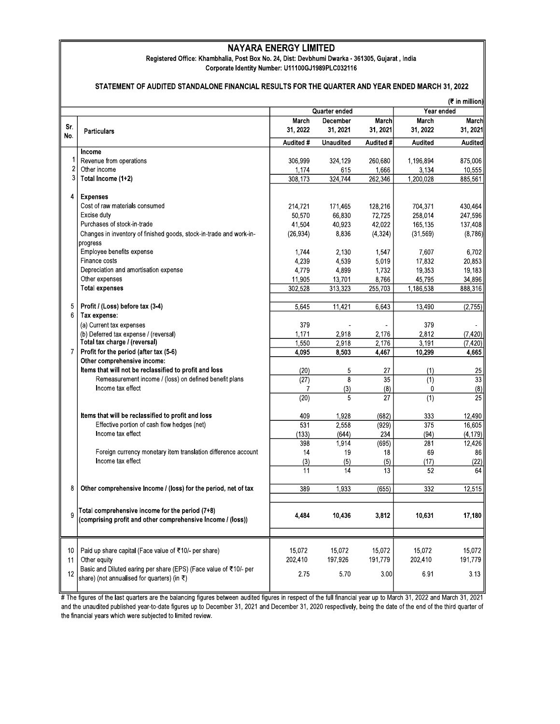## **NAYARA ENERGY LIMITED**

**Registered Office:** Khambhalia, Post Box **No. 24,** Dist: Devbhumi **Dwarka -** 361305, Gujarat, India Corporate Identity Number: U11100GJ1989PLC032116

## **STATEMENT OF AUDITED STANDALONE FINANCIAL RESULTS FOR** THE **QUARTER AND YEAR ENDED MARCH 31, 2022**

|                |                                                                                                                | Quarter ended    |                  |                  | (₹ in million)<br>Year ended |                 |
|----------------|----------------------------------------------------------------------------------------------------------------|------------------|------------------|------------------|------------------------------|-----------------|
|                |                                                                                                                | March            | December         | <b>March</b>     | March                        | March           |
| Sr.            | <b>Particulars</b>                                                                                             | 31, 2022         | 31, 2021         | 31, 2021         | 31, 2022                     | 31, 2021        |
| No.            |                                                                                                                | Audited #        | <b>Unaudited</b> | Audited #        | <b>Audited</b>               | <b>Audited</b>  |
| 1              | Income<br>Revenue from operations                                                                              |                  |                  |                  | 1,196,894                    | 875,006         |
| $\overline{2}$ | Other income                                                                                                   | 306,999          | 324,129<br>615   | 260,680<br>1,666 | 3,134                        | 10,555          |
| 3              | Total Income (1+2)                                                                                             | 1,174<br>308,173 | 324.744          | 262,346          | 1,200,028                    | 885,561         |
|                |                                                                                                                |                  |                  |                  |                              |                 |
| 4              | <b>Expenses</b>                                                                                                |                  |                  |                  |                              |                 |
|                | Cost of raw materials consumed                                                                                 | 214,721          | 171,465          | 128,216          | 704,371                      | 430,464         |
|                | Excise duty                                                                                                    | 50,570           | 66,830           | 72,725           | 258,014                      | 247,596         |
|                | Purchases of stock-in-trade                                                                                    | 41,504           | 40,923           | 42,022           | 165,135                      | 137,408         |
|                | Changes in inventory of finished goods, stock-in-trade and work-in-                                            | (26, 934)        | 8,836            | (4, 324)         | (31, 569)                    | (8,786)         |
|                | progress<br>Employee benefits expense                                                                          | 1.744            | 2,130            | 1,547            | 7,607                        | 6,702           |
|                | Finance costs                                                                                                  | 4,239            | 4,539            | 5,019            | 17,832                       | 20,853          |
|                | Depreciation and amortisation expense                                                                          | 4,779            | 4,899            | 1,732            | 19.353                       | 19,183          |
|                | Other expenses                                                                                                 | 11,905           | 13,701           | 8,766            | 45,795                       | 34,896          |
|                | <b>Total expenses</b>                                                                                          | 302,528          | 313,323          | 255,703          | 1,186,538                    | 888,316         |
|                |                                                                                                                |                  |                  |                  |                              |                 |
| 5              | Profit / (Loss) before tax (3-4)                                                                               | 5,645            | 11,421           | 6,643            | 13,490                       | (2,755)         |
| 6              | Tax expense:                                                                                                   |                  |                  |                  |                              |                 |
|                | (a) Current tax expenses                                                                                       | 379              |                  |                  | 379                          |                 |
|                | (b) Deferred tax expense / (reversal)                                                                          | 1,171            | 2,918            | 2,176            | 2,812                        | (7, 420)        |
|                | Total tax charge / (reversal)                                                                                  | 1,550            | 2,918            | 2,176            | 3,191                        | (7, 420)        |
| $\overline{7}$ | Profit for the period (after tax (5-6)                                                                         | 4,095            | 8,503            | 4,467            | 10,299                       | 4,665           |
|                | Other comprehensive income:<br>Items that will not be reclassified to profit and loss                          | (20)             | 5                | 27               | (1)                          | 25              |
|                | Remeasurement income / (loss) on defined benefit plans                                                         | (27)             | 8                | 35               | (1)                          | 33              |
|                | Income tax effect                                                                                              | 7                | (3)              | (8)              | 0                            | (8)             |
|                |                                                                                                                | (20)             | 5                | 27               | (1)                          | $\overline{25}$ |
|                |                                                                                                                |                  |                  |                  |                              |                 |
|                | Items that will be reclassified to profit and loss                                                             | 409              | 1,928            | (682)            | 333                          | 12,490          |
|                | Effective portion of cash flow hedges (net)                                                                    | 531              | 2,558            | (929)            | 375                          | 16,605          |
|                | Income tax effect                                                                                              | (133)            | (644)            | 234              | (94)                         | (4, 179)        |
|                |                                                                                                                | 398              | 1,914            | (695)            | 281                          | 12,426          |
|                | Foreign currency monetary item translation difference account                                                  | 14               | 19               | 18               | 69                           | 86              |
|                | Income tax effect                                                                                              | (3)              | (5)              | (5)              | (17)                         | (22)            |
|                |                                                                                                                | 11               | 14               | 13               | 52                           | 64              |
| 8              | Other comprehensive Income / (loss) for the period, net of tax                                                 | 389              | 1,933            | (655)            | 332                          | 12,515          |
| 9              | Total comprehensive income for the period (7+8)<br>(comprising profit and other comprehensive Income / (loss)) | 4,484            | 10,436           | 3,812            | 10,631                       | 17,180          |
|                |                                                                                                                |                  |                  |                  |                              |                 |
| 10             | Paid up share capital (Face value of ₹10/- per share)                                                          | 15,072           | 15,072           | 15.072           | 15,072                       | 15,072          |
| 11             | Other equity                                                                                                   | 202,410          | 197,926          | 191,779          | 202,410                      | 191,779         |
|                | Basic and Diluted earing per share (EPS) (Face value of ₹10/- per                                              |                  |                  |                  |                              |                 |
| 12             | share) (not annualised for quarters) (in ₹)                                                                    | 275              | 5.70             | 3.00             | 6.91                         | 3.13            |
|                |                                                                                                                |                  |                  |                  |                              |                 |

# The figures of the last quarters are the balancing figures between audited figures in respect of the full financial year up to March 31, 2022 and March 31, 2021 and the unaudited published year-to-date figures up to December 31, 2021 and December 31, 2020 respectively, being the date of the end of the third quarter of the financial years which were subjected to limited review.